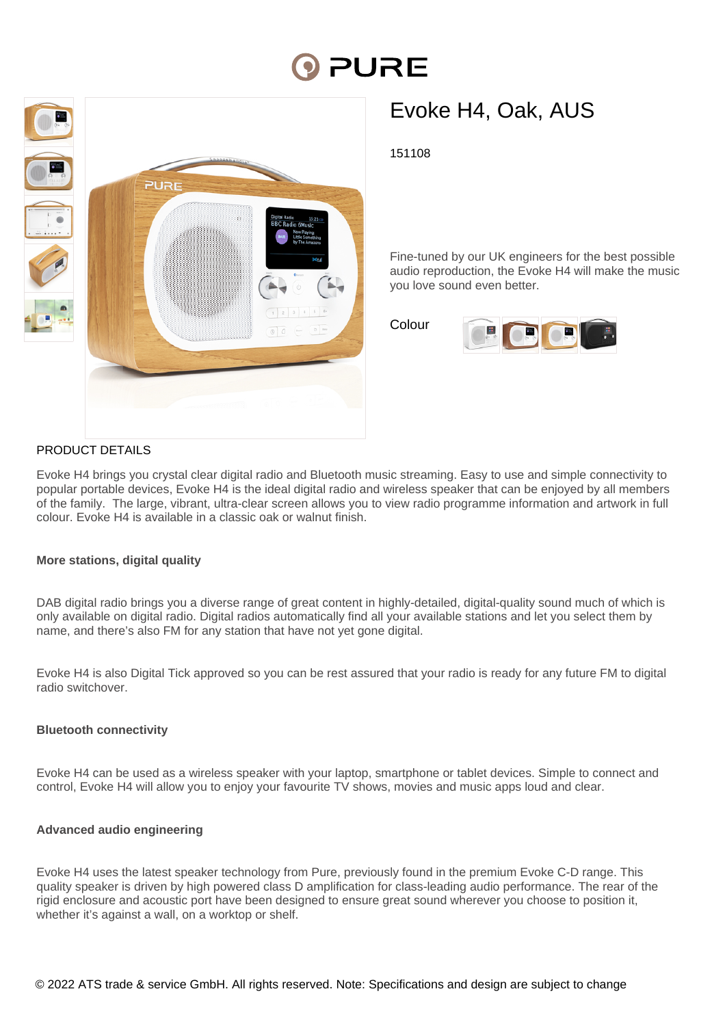# PURE



# Evoke H4, Oak, AUS

151108

Fine-tuned by our UK engineers for the best possible audio reproduction, the Evoke H4 will make the music you love sound even better.

Colour



# PRODUCT DETAILS

Evoke H4 brings you crystal clear digital radio and Bluetooth music streaming. Easy to use and simple connectivity to popular portable devices, Evoke H4 is the ideal digital radio and wireless speaker that can be enjoyed by all members of the family. The large, vibrant, ultra-clear screen allows you to view radio programme information and artwork in full colour. Evoke H4 is available in a classic oak or walnut finish.

# **More stations, digital quality**

DAB digital radio brings you a diverse range of great content in highly-detailed, digital-quality sound much of which is only available on digital radio. Digital radios automatically find all your available stations and let you select them by name, and there's also FM for any station that have not yet gone digital.

Evoke H4 is also Digital Tick approved so you can be rest assured that your radio is ready for any future FM to digital radio switchover.

# **Bluetooth connectivity**

Evoke H4 can be used as a wireless speaker with your laptop, smartphone or tablet devices. Simple to connect and control, Evoke H4 will allow you to enjoy your favourite TV shows, movies and music apps loud and clear.

# **Advanced audio engineering**

Evoke H4 uses the latest speaker technology from Pure, previously found in the premium Evoke C-D range. This quality speaker is driven by high powered class D amplification for class-leading audio performance. The rear of the rigid enclosure and acoustic port have been designed to ensure great sound wherever you choose to position it, whether it's against a wall, on a worktop or shelf.